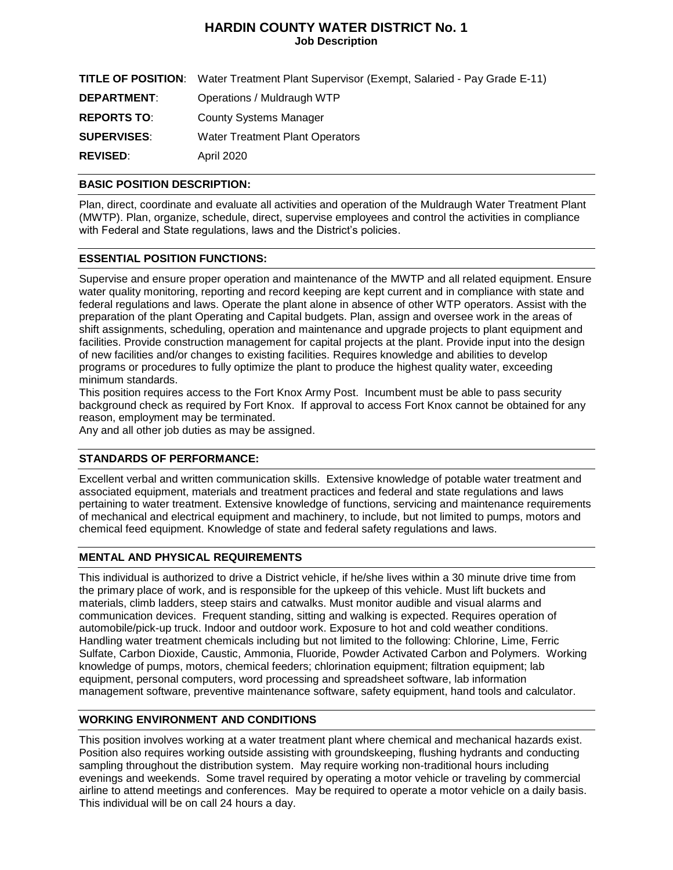# **HARDIN COUNTY WATER DISTRICT No. 1 Job Description**

|                    | <b>TITLE OF POSITION:</b> Water Treatment Plant Supervisor (Exempt, Salaried - Pay Grade E-11) |
|--------------------|------------------------------------------------------------------------------------------------|
| <b>DEPARTMENT:</b> | Operations / Muldraugh WTP                                                                     |
| <b>REPORTS TO:</b> | County Systems Manager                                                                         |
| <b>SUPERVISES:</b> | Water Treatment Plant Operators                                                                |
| <b>REVISED:</b>    | April 2020                                                                                     |

## **BASIC POSITION DESCRIPTION:**

Plan, direct, coordinate and evaluate all activities and operation of the Muldraugh Water Treatment Plant (MWTP). Plan, organize, schedule, direct, supervise employees and control the activities in compliance with Federal and State regulations, laws and the District's policies.

## **ESSENTIAL POSITION FUNCTIONS:**

Supervise and ensure proper operation and maintenance of the MWTP and all related equipment. Ensure water quality monitoring, reporting and record keeping are kept current and in compliance with state and federal regulations and laws. Operate the plant alone in absence of other WTP operators. Assist with the preparation of the plant Operating and Capital budgets. Plan, assign and oversee work in the areas of shift assignments, scheduling, operation and maintenance and upgrade projects to plant equipment and facilities. Provide construction management for capital projects at the plant. Provide input into the design of new facilities and/or changes to existing facilities. Requires knowledge and abilities to develop programs or procedures to fully optimize the plant to produce the highest quality water, exceeding minimum standards.

This position requires access to the Fort Knox Army Post. Incumbent must be able to pass security background check as required by Fort Knox. If approval to access Fort Knox cannot be obtained for any reason, employment may be terminated.

Any and all other job duties as may be assigned.

## **STANDARDS OF PERFORMANCE:**

Excellent verbal and written communication skills. Extensive knowledge of potable water treatment and associated equipment, materials and treatment practices and federal and state regulations and laws pertaining to water treatment. Extensive knowledge of functions, servicing and maintenance requirements of mechanical and electrical equipment and machinery, to include, but not limited to pumps, motors and chemical feed equipment. Knowledge of state and federal safety regulations and laws.

#### **MENTAL AND PHYSICAL REQUIREMENTS**

This individual is authorized to drive a District vehicle, if he/she lives within a 30 minute drive time from the primary place of work, and is responsible for the upkeep of this vehicle. Must lift buckets and materials, climb ladders, steep stairs and catwalks. Must monitor audible and visual alarms and communication devices. Frequent standing, sitting and walking is expected. Requires operation of automobile/pick-up truck. Indoor and outdoor work. Exposure to hot and cold weather conditions. Handling water treatment chemicals including but not limited to the following: Chlorine, Lime, Ferric Sulfate, Carbon Dioxide, Caustic, Ammonia, Fluoride, Powder Activated Carbon and Polymers. Working knowledge of pumps, motors, chemical feeders; chlorination equipment; filtration equipment; lab equipment, personal computers, word processing and spreadsheet software, lab information management software, preventive maintenance software, safety equipment, hand tools and calculator.

#### **WORKING ENVIRONMENT AND CONDITIONS**

This position involves working at a water treatment plant where chemical and mechanical hazards exist. Position also requires working outside assisting with groundskeeping, flushing hydrants and conducting sampling throughout the distribution system. May require working non-traditional hours including evenings and weekends. Some travel required by operating a motor vehicle or traveling by commercial airline to attend meetings and conferences. May be required to operate a motor vehicle on a daily basis. This individual will be on call 24 hours a day.